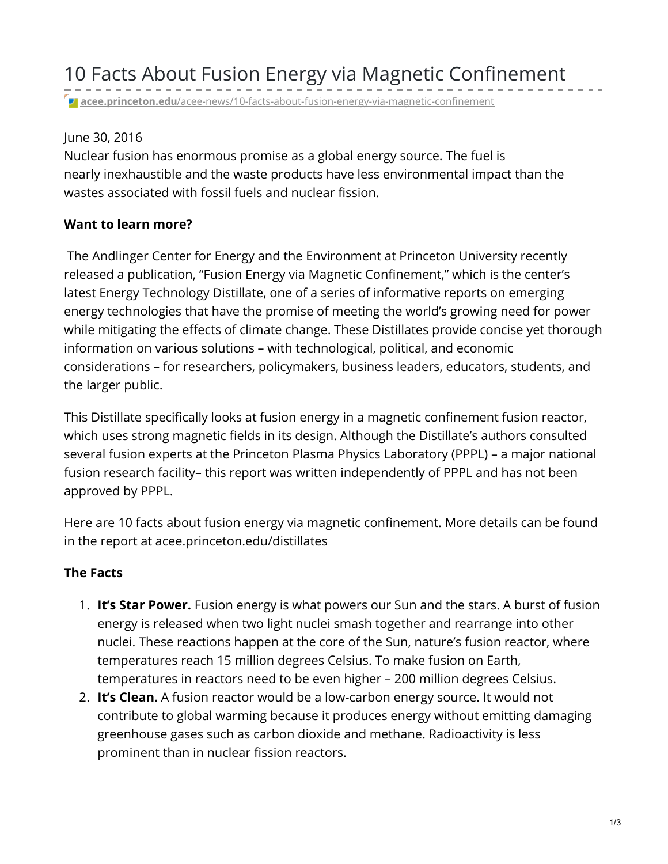**acee.princeton.edu**[/acee-news/10-facts-about-fusion-energy-via-magnetic-confinement](https://acee.princeton.edu/acee-news/10-facts-about-fusion-energy-via-magnetic-confinement/)

## June 30, 2016

Nuclear fusion has enormous promise as a global energy source. The fuel is nearly inexhaustible and the waste products have less environmental impact than the wastes associated with fossil fuels and nuclear fission.

## **Want to learn more?**

The Andlinger Center for Energy and the Environment at Princeton University recently released a publication, "Fusion Energy via Magnetic Confinement," which is the center's latest Energy Technology Distillate, one of a series of informative reports on emerging energy technologies that have the promise of meeting the world's growing need for power while mitigating the effects of climate change. These Distillates provide concise yet thorough information on various solutions – with technological, political, and economic considerations – for researchers, policymakers, business leaders, educators, students, and the larger public.

This Distillate specifically looks at fusion energy in a magnetic confinement fusion reactor, which uses strong magnetic fields in its design. Although the Distillate's authors consulted several fusion experts at the Princeton Plasma Physics Laboratory (PPPL) – a major national fusion research facility– this report was written independently of PPPL and has not been approved by PPPL.

Here are 10 facts about fusion energy via magnetic confinement. More details can be found in the report at [acee.princeton.edu/distillates](http://acee.princeton.edu/distillates/)

## **The Facts**

- 1. **It's Star Power.** Fusion energy is what powers our Sun and the stars. A burst of fusion energy is released when two light nuclei smash together and rearrange into other nuclei. These reactions happen at the core of the Sun, nature's fusion reactor, where temperatures reach 15 million degrees Celsius. To make fusion on Earth, temperatures in reactors need to be even higher – 200 million degrees Celsius.
- 2. **It's Clean.** A fusion reactor would be a low-carbon energy source. It would not contribute to global warming because it produces energy without emitting damaging greenhouse gases such as carbon dioxide and methane. Radioactivity is less prominent than in nuclear fission reactors.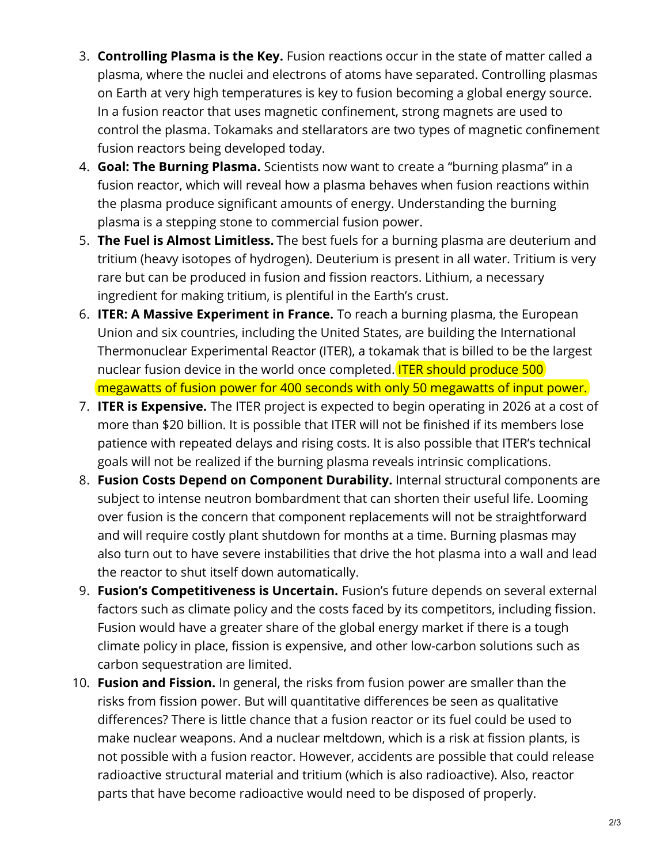- 3. **Controlling Plasma is the Key.** Fusion reactions occur in the state of matter called a plasma, where the nuclei and electrons of atoms have separated. Controlling plasmas on Earth at very high temperatures is key to fusion becoming a global energy source. In a fusion reactor that uses magnetic confinement, strong magnets are used to control the plasma. Tokamaks and stellarators are two types of magnetic confinement fusion reactors being developed today.
- 4. **Goal: The Burning Plasma.** Scientists now want to create a "burning plasma" in a fusion reactor, which will reveal how a plasma behaves when fusion reactions within the plasma produce significant amounts of energy. Understanding the burning plasma is a stepping stone to commercial fusion power.
- 5. **The Fuel is Almost Limitless.** The best fuels for a burning plasma are deuterium and tritium (heavy isotopes of hydrogen). Deuterium is present in all water. Tritium is very rare but can be produced in fusion and fission reactors. Lithium, a necessary ingredient for making tritium, is plentiful in the Earth's crust.
- 6. **ITER: A Massive Experiment in France.** To reach a burning plasma, the European Union and six countries, including the United States, are building the International Thermonuclear Experimental Reactor (ITER), a tokamak that is billed to be the largest nuclear fusion device in the world once completed. **ITER should produce 500** megawatts of fusion power for 400 seconds with only 50 megawatts of input power.
- 7. **ITER is Expensive.** The ITER project is expected to begin operating in 2026 at a cost of more than \$20 billion. It is possible that ITER will not be finished if its members lose patience with repeated delays and rising costs. It is also possible that ITER's technical goals will not be realized if the burning plasma reveals intrinsic complications.
- 8. **Fusion Costs Depend on Component Durability.** Internal structural components are subject to intense neutron bombardment that can shorten their useful life. Looming over fusion is the concern that component replacements will not be straightforward and will require costly plant shutdown for months at a time. Burning plasmas may also turn out to have severe instabilities that drive the hot plasma into a wall and lead the reactor to shut itself down automatically.
- 9. **Fusion's Competitiveness is Uncertain.** Fusion's future depends on several external factors such as climate policy and the costs faced by its competitors, including fission. Fusion would have a greater share of the global energy market if there is a tough climate policy in place, fission is expensive, and other low-carbon solutions such as carbon sequestration are limited.
- 10. **Fusion and Fission.** In general, the risks from fusion power are smaller than the risks from fission power. But will quantitative differences be seen as qualitative differences? There is little chance that a fusion reactor or its fuel could be used to make nuclear weapons. And a nuclear meltdown, which is a risk at fission plants, is not possible with a fusion reactor. However, accidents are possible that could release radioactive structural material and tritium (which is also radioactive). Also, reactor parts that have become radioactive would need to be disposed of properly.